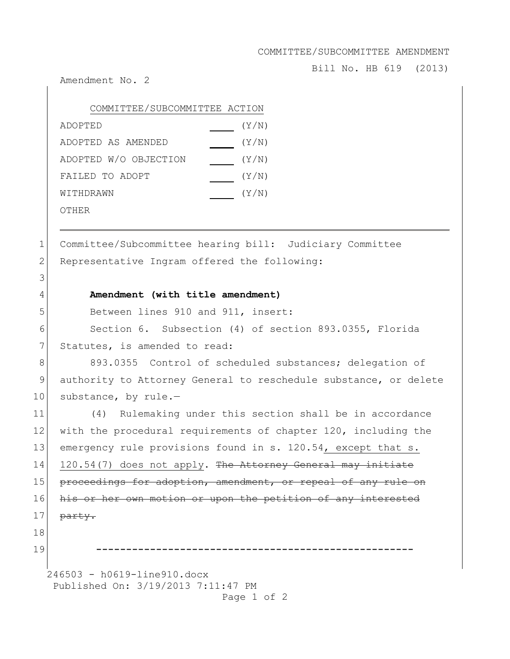COMMITTEE/SUBCOMMITTEE AMENDMENT

Bill No. HB 619 (2013)

Amendment No. 2

| COMMITTEE/SUBCOMMITTEE ACTION |       |
|-------------------------------|-------|
| ADOPTED                       | (Y/N) |
| ADOPTED AS AMENDED            | (Y/N) |
| ADOPTED W/O OBJECTION         | (Y/N) |
| FAILED TO ADOPT               | (Y/N) |
| WITHDRAWN                     | (Y/N) |
| OTHER                         |       |

1 Committee/Subcommittee hearing bill: Judiciary Committee 2 Representative Ingram offered the following:

## 4 **Amendment (with title amendment)**

5 Between lines 910 and 911, insert:

6 Section 6. Subsection (4) of section 893.0355, Florida 7 Statutes, is amended to read:

8 893.0355 Control of scheduled substances; delegation of 9 authority to Attorney General to reschedule substance, or delete 10 substance, by rule.-

11 (4) Rulemaking under this section shall be in accordance 12 with the procedural requirements of chapter 120, including the 13 emergency rule provisions found in s. 120.54, except that s. 14  $120.54(7)$  does not apply. The Attorney General may initiate 15 proceedings for adoption, amendment, or repeal of any rule on 16 his or her own motion or upon the petition of any interested  $17$  party. 18

3

19 **-----------------------------------------------------**

246503 - h0619-line910.docx Published On: 3/19/2013 7:11:47 PM Page 1 of 2